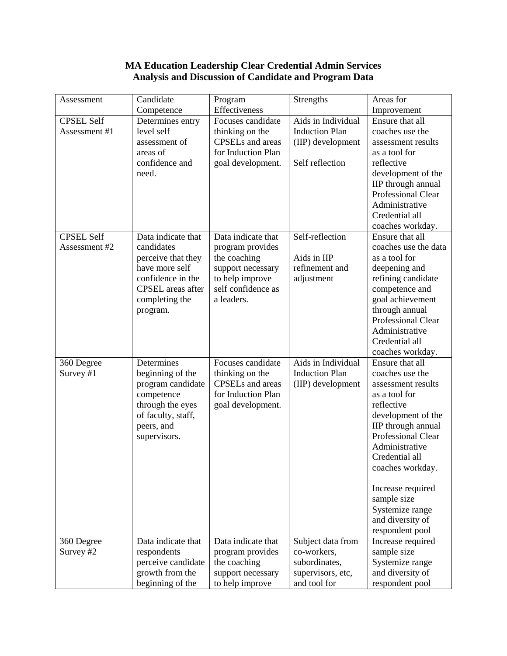## **MA Education Leadership Clear Credential Admin Services Analysis and Discussion of Candidate and Program Data**

| Assessment              | Candidate          | Program                 | Strengths             | Areas for                           |
|-------------------------|--------------------|-------------------------|-----------------------|-------------------------------------|
|                         | Competence         | Effectiveness           |                       | Improvement                         |
| <b>CPSEL Self</b>       | Determines entry   | Focuses candidate       | Aids in Individual    | Ensure that all                     |
| Assessment #1           | level self         | thinking on the         | <b>Induction Plan</b> | coaches use the                     |
|                         | assessment of      | <b>CPSELs</b> and areas | (IIP) development     | assessment results                  |
|                         | areas of           | for Induction Plan      |                       | as a tool for                       |
|                         | confidence and     | goal development.       | Self reflection       | reflective                          |
|                         | need.              |                         |                       | development of the                  |
|                         |                    |                         |                       | IIP through annual                  |
|                         |                    |                         |                       | Professional Clear                  |
|                         |                    |                         |                       | Administrative                      |
|                         |                    |                         |                       | Credential all                      |
|                         |                    |                         |                       | coaches workday.                    |
| <b>CPSEL Self</b>       | Data indicate that | Data indicate that      | Self-reflection       | Ensure that all                     |
| Assessment #2           | candidates         | program provides        |                       | coaches use the data                |
|                         | perceive that they | the coaching            | Aids in IIP           | as a tool for                       |
|                         | have more self     | support necessary       | refinement and        | deepening and                       |
|                         | confidence in the  | to help improve         | adjustment            | refining candidate                  |
|                         | CPSEL areas after  | self confidence as      |                       | competence and                      |
|                         | completing the     | a leaders.              |                       | goal achievement                    |
|                         | program.           |                         |                       | through annual                      |
|                         |                    |                         |                       | Professional Clear                  |
|                         |                    |                         |                       | Administrative                      |
|                         |                    |                         |                       | Credential all                      |
|                         | Determines         | Focuses candidate       | Aids in Individual    | coaches workday.<br>Ensure that all |
| 360 Degree<br>Survey #1 | beginning of the   | thinking on the         | <b>Induction Plan</b> | coaches use the                     |
|                         | program candidate  | <b>CPSELs</b> and areas | (IIP) development     | assessment results                  |
|                         | competence         | for Induction Plan      |                       | as a tool for                       |
|                         | through the eyes   | goal development.       |                       | reflective                          |
|                         | of faculty, staff, |                         |                       | development of the                  |
|                         | peers, and         |                         |                       | IIP through annual                  |
|                         | supervisors.       |                         |                       | <b>Professional Clear</b>           |
|                         |                    |                         |                       | Administrative                      |
|                         |                    |                         |                       | Credential all                      |
|                         |                    |                         |                       | coaches workday.                    |
|                         |                    |                         |                       |                                     |
|                         |                    |                         |                       | Increase required                   |
|                         |                    |                         |                       | sample size                         |
|                         |                    |                         |                       | Systemize range                     |
|                         |                    |                         |                       | and diversity of                    |
|                         |                    |                         |                       | respondent pool                     |
| 360 Degree              | Data indicate that | Data indicate that      | Subject data from     | Increase required                   |
| Survey #2               | respondents        | program provides        | co-workers,           | sample size                         |
|                         | perceive candidate | the coaching            | subordinates,         | Systemize range                     |
|                         | growth from the    | support necessary       | supervisors, etc,     | and diversity of                    |
|                         | beginning of the   | to help improve         | and tool for          | respondent pool                     |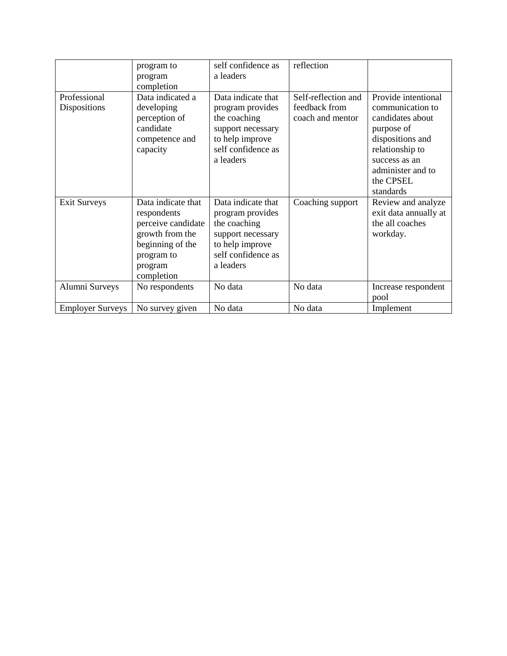|                         | program to         | self confidence as | reflection          |                       |
|-------------------------|--------------------|--------------------|---------------------|-----------------------|
|                         | program            | a leaders          |                     |                       |
|                         | completion         |                    |                     |                       |
| Professional            | Data indicated a   | Data indicate that | Self-reflection and | Provide intentional   |
| Dispositions            | developing         | program provides   | feedback from       | communication to      |
|                         | perception of      | the coaching       | coach and mentor    | candidates about      |
|                         | candidate          | support necessary  |                     | purpose of            |
|                         | competence and     | to help improve    |                     | dispositions and      |
|                         | capacity           | self confidence as |                     | relationship to       |
|                         |                    | a leaders          |                     | success as an         |
|                         |                    |                    |                     | administer and to     |
|                         |                    |                    |                     | the CPSEL             |
|                         |                    |                    |                     | standards             |
| <b>Exit Surveys</b>     | Data indicate that | Data indicate that | Coaching support    | Review and analyze    |
|                         | respondents        | program provides   |                     | exit data annually at |
|                         | perceive candidate | the coaching       |                     | the all coaches       |
|                         | growth from the    | support necessary  |                     | workday.              |
|                         | beginning of the   | to help improve    |                     |                       |
|                         | program to         | self confidence as |                     |                       |
|                         | program            | a leaders          |                     |                       |
|                         | completion         |                    |                     |                       |
| Alumni Surveys          | No respondents     | No data            | No data             | Increase respondent   |
|                         |                    |                    |                     | pool                  |
| <b>Employer Surveys</b> | No survey given    | No data            | No data             | Implement             |